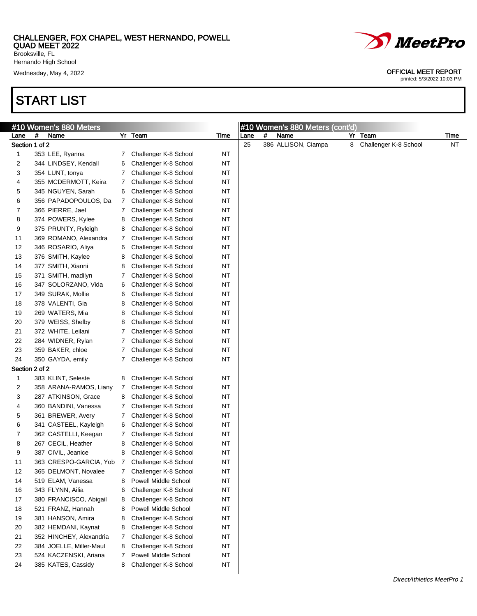Brooksville, FL Hernando High School

Wednesday, May 4, 2022 **OFFICIAL MEET REPORT** 

# START LIST

| #10 Women's 880 Meters<br>#<br>Name<br>Lane<br>Section 1 of 2<br>353 LEE, Ryanna<br>1<br>2<br>344 LINDSEY, Kendall<br>3<br>354 LUNT, tonya<br>355 MCDERMOTT, Keira<br>4<br>5<br>345 NGUYEN, Sarah<br>6<br>356 PAPADOPOULOS, Da<br>366 PIERRE, Jael<br>7<br>8<br>374 POWERS, Kylee<br>9<br>375 PRUNTY, Ryleigh | $7\phantom{.}$<br>6<br>7<br>7<br>6<br>7<br>7<br>8<br>8<br>7<br>6<br>8<br>8 | Yr Team<br>Challenger K-8 School<br>Challenger K-8 School<br>Challenger K-8 School<br>Challenger K-8 School<br>Challenger K-8 School<br>Challenger K-8 School<br>Challenger K-8 School<br>Challenger K-8 School<br>Challenger K-8 School<br>Challenger K-8 School<br>Challenger K-8 School | Time<br>ΝT<br>ΝT<br>ΝT<br><b>NT</b><br><b>NT</b><br><b>NT</b><br><b>NT</b><br><b>NT</b><br><b>NT</b><br><b>NT</b> | Lane<br>25 | # | #10 Women's 880 Meters (cont'd)<br>Name<br>386 ALLISON, Ciampa | 8 | Yr Team<br>Challenger K-8 School | Time<br><b>NT</b> |
|---------------------------------------------------------------------------------------------------------------------------------------------------------------------------------------------------------------------------------------------------------------------------------------------------------------|----------------------------------------------------------------------------|--------------------------------------------------------------------------------------------------------------------------------------------------------------------------------------------------------------------------------------------------------------------------------------------|-------------------------------------------------------------------------------------------------------------------|------------|---|----------------------------------------------------------------|---|----------------------------------|-------------------|
|                                                                                                                                                                                                                                                                                                               |                                                                            |                                                                                                                                                                                                                                                                                            |                                                                                                                   |            |   |                                                                |   |                                  |                   |
|                                                                                                                                                                                                                                                                                                               |                                                                            |                                                                                                                                                                                                                                                                                            |                                                                                                                   |            |   |                                                                |   |                                  |                   |
|                                                                                                                                                                                                                                                                                                               |                                                                            |                                                                                                                                                                                                                                                                                            |                                                                                                                   |            |   |                                                                |   |                                  |                   |
|                                                                                                                                                                                                                                                                                                               |                                                                            |                                                                                                                                                                                                                                                                                            |                                                                                                                   |            |   |                                                                |   |                                  |                   |
|                                                                                                                                                                                                                                                                                                               |                                                                            |                                                                                                                                                                                                                                                                                            |                                                                                                                   |            |   |                                                                |   |                                  |                   |
|                                                                                                                                                                                                                                                                                                               |                                                                            |                                                                                                                                                                                                                                                                                            |                                                                                                                   |            |   |                                                                |   |                                  |                   |
|                                                                                                                                                                                                                                                                                                               |                                                                            |                                                                                                                                                                                                                                                                                            |                                                                                                                   |            |   |                                                                |   |                                  |                   |
|                                                                                                                                                                                                                                                                                                               |                                                                            |                                                                                                                                                                                                                                                                                            |                                                                                                                   |            |   |                                                                |   |                                  |                   |
|                                                                                                                                                                                                                                                                                                               |                                                                            |                                                                                                                                                                                                                                                                                            |                                                                                                                   |            |   |                                                                |   |                                  |                   |
|                                                                                                                                                                                                                                                                                                               |                                                                            |                                                                                                                                                                                                                                                                                            |                                                                                                                   |            |   |                                                                |   |                                  |                   |
|                                                                                                                                                                                                                                                                                                               |                                                                            |                                                                                                                                                                                                                                                                                            |                                                                                                                   |            |   |                                                                |   |                                  |                   |
| 369 ROMANO, Alexandra<br>11                                                                                                                                                                                                                                                                                   |                                                                            |                                                                                                                                                                                                                                                                                            |                                                                                                                   |            |   |                                                                |   |                                  |                   |
| 12<br>346 ROSARIO, Aliya                                                                                                                                                                                                                                                                                      |                                                                            |                                                                                                                                                                                                                                                                                            | <b>NT</b>                                                                                                         |            |   |                                                                |   |                                  |                   |
| 376 SMITH, Kaylee<br>13                                                                                                                                                                                                                                                                                       |                                                                            | Challenger K-8 School                                                                                                                                                                                                                                                                      | <b>NT</b>                                                                                                         |            |   |                                                                |   |                                  |                   |
| 377 SMITH, Xianni<br>14                                                                                                                                                                                                                                                                                       |                                                                            | Challenger K-8 School                                                                                                                                                                                                                                                                      | <b>NT</b>                                                                                                         |            |   |                                                                |   |                                  |                   |
| 371 SMITH, madilyn<br>15                                                                                                                                                                                                                                                                                      | 7                                                                          | Challenger K-8 School                                                                                                                                                                                                                                                                      | <b>NT</b>                                                                                                         |            |   |                                                                |   |                                  |                   |
| 347 SOLORZANO, Vida<br>16                                                                                                                                                                                                                                                                                     | 6                                                                          | Challenger K-8 School                                                                                                                                                                                                                                                                      | <b>NT</b>                                                                                                         |            |   |                                                                |   |                                  |                   |
| 349 SURAK, Mollie<br>17                                                                                                                                                                                                                                                                                       | 6                                                                          | Challenger K-8 School                                                                                                                                                                                                                                                                      | <b>NT</b>                                                                                                         |            |   |                                                                |   |                                  |                   |
| 378 VALENTI, Gia<br>18                                                                                                                                                                                                                                                                                        | 8                                                                          | Challenger K-8 School                                                                                                                                                                                                                                                                      | <b>NT</b>                                                                                                         |            |   |                                                                |   |                                  |                   |
| 269 WATERS, Mia<br>19                                                                                                                                                                                                                                                                                         | 8                                                                          | Challenger K-8 School                                                                                                                                                                                                                                                                      | <b>NT</b>                                                                                                         |            |   |                                                                |   |                                  |                   |
| 379 WEISS, Shelby<br>20                                                                                                                                                                                                                                                                                       | 8                                                                          | Challenger K-8 School                                                                                                                                                                                                                                                                      | <b>NT</b>                                                                                                         |            |   |                                                                |   |                                  |                   |
| 372 WHITE, Leilani<br>21                                                                                                                                                                                                                                                                                      | 7                                                                          | Challenger K-8 School                                                                                                                                                                                                                                                                      | <b>NT</b>                                                                                                         |            |   |                                                                |   |                                  |                   |
| 22<br>284 WIDNER, Rylan                                                                                                                                                                                                                                                                                       | 7                                                                          | Challenger K-8 School                                                                                                                                                                                                                                                                      | <b>NT</b>                                                                                                         |            |   |                                                                |   |                                  |                   |
| 23<br>359 BAKER, chloe                                                                                                                                                                                                                                                                                        | 7                                                                          | Challenger K-8 School                                                                                                                                                                                                                                                                      | <b>NT</b>                                                                                                         |            |   |                                                                |   |                                  |                   |
| 24<br>350 GAYDA, emily                                                                                                                                                                                                                                                                                        | 7                                                                          | Challenger K-8 School                                                                                                                                                                                                                                                                      | <b>NT</b>                                                                                                         |            |   |                                                                |   |                                  |                   |
| Section 2 of 2                                                                                                                                                                                                                                                                                                |                                                                            |                                                                                                                                                                                                                                                                                            |                                                                                                                   |            |   |                                                                |   |                                  |                   |
| 383 KLINT, Seleste<br>1                                                                                                                                                                                                                                                                                       | 8                                                                          | Challenger K-8 School                                                                                                                                                                                                                                                                      | <b>NT</b>                                                                                                         |            |   |                                                                |   |                                  |                   |
| 2<br>358 ARANA-RAMOS, Liany                                                                                                                                                                                                                                                                                   | 7                                                                          | Challenger K-8 School                                                                                                                                                                                                                                                                      | <b>NT</b>                                                                                                         |            |   |                                                                |   |                                  |                   |
| 287 ATKINSON, Grace<br>3                                                                                                                                                                                                                                                                                      | 8                                                                          | Challenger K-8 School                                                                                                                                                                                                                                                                      | <b>NT</b>                                                                                                         |            |   |                                                                |   |                                  |                   |
| 4<br>360 BANDINI, Vanessa                                                                                                                                                                                                                                                                                     | 7                                                                          | Challenger K-8 School                                                                                                                                                                                                                                                                      | ΝT                                                                                                                |            |   |                                                                |   |                                  |                   |
| 361 BREWER, Avery<br>5                                                                                                                                                                                                                                                                                        | 7                                                                          | Challenger K-8 School                                                                                                                                                                                                                                                                      | <b>NT</b>                                                                                                         |            |   |                                                                |   |                                  |                   |
| 6<br>341 CASTEEL, Kayleigh                                                                                                                                                                                                                                                                                    | 6                                                                          | Challenger K-8 School                                                                                                                                                                                                                                                                      | <b>NT</b>                                                                                                         |            |   |                                                                |   |                                  |                   |
| 362 CASTELLI, Keegan<br>7                                                                                                                                                                                                                                                                                     | 7                                                                          | Challenger K-8 School                                                                                                                                                                                                                                                                      | <b>NT</b>                                                                                                         |            |   |                                                                |   |                                  |                   |
| 8<br>267 CECIL, Heather                                                                                                                                                                                                                                                                                       | 8                                                                          | Challenger K-8 School                                                                                                                                                                                                                                                                      | <b>NT</b>                                                                                                         |            |   |                                                                |   |                                  |                   |
| 9<br>387 CIVIL, Jeanice                                                                                                                                                                                                                                                                                       | 8                                                                          | Challenger K-8 School                                                                                                                                                                                                                                                                      | <b>NT</b>                                                                                                         |            |   |                                                                |   |                                  |                   |
| 363 CRESPO-GARCIA, Yob<br>11                                                                                                                                                                                                                                                                                  | 7                                                                          | Challenger K-8 School                                                                                                                                                                                                                                                                      | <b>NT</b>                                                                                                         |            |   |                                                                |   |                                  |                   |
| 12<br>365 DELMONT, Novalee                                                                                                                                                                                                                                                                                    | 7                                                                          | Challenger K-8 School                                                                                                                                                                                                                                                                      | <b>NT</b>                                                                                                         |            |   |                                                                |   |                                  |                   |
| 14<br>519 ELAM, Vanessa                                                                                                                                                                                                                                                                                       | 8                                                                          | Powell Middle School                                                                                                                                                                                                                                                                       | NT                                                                                                                |            |   |                                                                |   |                                  |                   |
| 343 FLYNN, Ailia<br>16                                                                                                                                                                                                                                                                                        | 6                                                                          | Challenger K-8 School                                                                                                                                                                                                                                                                      | NT                                                                                                                |            |   |                                                                |   |                                  |                   |
| 380 FRANCISCO, Abigail<br>17                                                                                                                                                                                                                                                                                  | 8                                                                          | Challenger K-8 School                                                                                                                                                                                                                                                                      | NT                                                                                                                |            |   |                                                                |   |                                  |                   |
| 18<br>521 FRANZ, Hannah                                                                                                                                                                                                                                                                                       | 8                                                                          | Powell Middle School                                                                                                                                                                                                                                                                       | NT                                                                                                                |            |   |                                                                |   |                                  |                   |
| 381 HANSON, Amira<br>19                                                                                                                                                                                                                                                                                       | 8                                                                          | Challenger K-8 School                                                                                                                                                                                                                                                                      | NT                                                                                                                |            |   |                                                                |   |                                  |                   |
| 20<br>382 HEMDANI, Kaynat                                                                                                                                                                                                                                                                                     | 8                                                                          | Challenger K-8 School                                                                                                                                                                                                                                                                      | NT                                                                                                                |            |   |                                                                |   |                                  |                   |
| 21<br>352 HINCHEY, Alexandria                                                                                                                                                                                                                                                                                 | 7                                                                          | Challenger K-8 School                                                                                                                                                                                                                                                                      | NT                                                                                                                |            |   |                                                                |   |                                  |                   |
| 22<br>384 JOELLE, Miller-Maul                                                                                                                                                                                                                                                                                 | 8                                                                          | Challenger K-8 School                                                                                                                                                                                                                                                                      | NT                                                                                                                |            |   |                                                                |   |                                  |                   |
| 23<br>524 KACZENSKI, Ariana                                                                                                                                                                                                                                                                                   | 7                                                                          | Powell Middle School                                                                                                                                                                                                                                                                       | NT                                                                                                                |            |   |                                                                |   |                                  |                   |
| 385 KATES, Cassidy<br>24                                                                                                                                                                                                                                                                                      | 8                                                                          | Challenger K-8 School                                                                                                                                                                                                                                                                      | NT                                                                                                                |            |   |                                                                |   |                                  |                   |

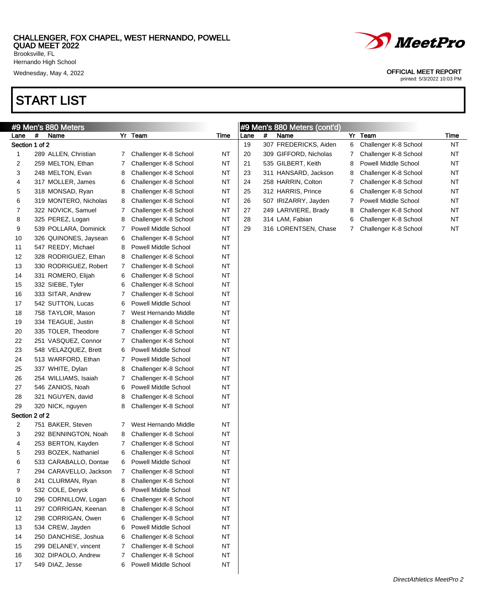Hernando High School

# START LIST



Wednesday, May 4, 2022 **OFFICIAL MEET REPORT** 

|                |   | #9 Men's 880 Meters    |   |                       |           |      |   | #9 Men's 880 Meters (cont'd) |   |                       |           |
|----------------|---|------------------------|---|-----------------------|-----------|------|---|------------------------------|---|-----------------------|-----------|
| Lane           | # | Name                   |   | Yr Team               | Time      | Lane | # | Name                         |   | Yr Team               | Time      |
| Section 1 of 2 |   |                        |   |                       |           | 19   |   | 307 FREDERICKS, Aiden        | 6 | Challenger K-8 School | <b>NT</b> |
| 1              |   | 289 ALLEN, Christian   | 7 | Challenger K-8 School | ΝT        | 20   |   | 309 GIFFORD, Nicholas        |   | Challenger K-8 School | NT        |
| 2              |   | 259 MELTON, Ethan      | 7 | Challenger K-8 School | <b>NT</b> | 21   |   | 535 GILBERT, Keith           | 8 | Powell Middle School  | NT        |
| 3              |   | 248 MELTON, Evan       | 8 | Challenger K-8 School | ΝT        | 23   |   | 311 HANSARD, Jackson         | 8 | Challenger K-8 School | <b>NT</b> |
| 4              |   | 317 MOLLER, James      | 6 | Challenger K-8 School | <b>NT</b> | 24   |   | 258 HARRIN, Colton           |   | Challenger K-8 School | NT        |
| 5              |   | 318 MONSAD, Ryan       | 8 | Challenger K-8 School | ΝT        | 25   |   | 312 HARRIS, Prince           | 6 | Challenger K-8 School | NT        |
| 6              |   | 319 MONTERO, Nicholas  | 8 | Challenger K-8 School | <b>NT</b> | 26   |   | 507 IRIZARRY, Jayden         |   | Powell Middle School  | NT        |
| 7              |   | 322 NOVICK, Samuel     | 7 | Challenger K-8 School | ΝT        | 27   |   | 249 LARIVIERE, Brady         | 8 | Challenger K-8 School | <b>NT</b> |
| 8              |   | 325 PEREZ, Logan       | 8 | Challenger K-8 School | <b>NT</b> | 28   |   | 314 LAM, Fabian              | 6 | Challenger K-8 School | <b>NT</b> |
| 9              |   | 539 POLLARA, Dominick  | 7 | Powell Middle School  | ΝT        | 29   |   | 316 LORENTSEN, Chase         | 7 | Challenger K-8 School | <b>NT</b> |
| 10             |   | 326 QUINONES, Jaysean  | 6 | Challenger K-8 School | ΝT        |      |   |                              |   |                       |           |
| 11             |   | 547 REEDY, Michael     | 8 | Powell Middle School  | ΝT        |      |   |                              |   |                       |           |
| 12             |   | 328 RODRIGUEZ, Ethan   | 8 | Challenger K-8 School | ΝT        |      |   |                              |   |                       |           |
| 13             |   | 330 RODRIGUEZ, Robert  | 7 | Challenger K-8 School | <b>NT</b> |      |   |                              |   |                       |           |
| 14             |   | 331 ROMERO, Elijah     | 6 | Challenger K-8 School | ΝT        |      |   |                              |   |                       |           |
| 15             |   | 332 SIEBE, Tyler       | 6 | Challenger K-8 School | <b>NT</b> |      |   |                              |   |                       |           |
| 16             |   | 333 SITAR, Andrew      | 7 | Challenger K-8 School | ΝT        |      |   |                              |   |                       |           |
| 17             |   | 542 SUTTON, Lucas      | 6 | Powell Middle School  | <b>NT</b> |      |   |                              |   |                       |           |
| 18             |   | 758 TAYLOR, Mason      | 7 | West Hernando Middle  | ΝT        |      |   |                              |   |                       |           |
| 19             |   | 334 TEAGUE, Justin     | 8 | Challenger K-8 School | <b>NT</b> |      |   |                              |   |                       |           |
| 20             |   | 335 TOLER, Theodore    | 7 | Challenger K-8 School | <b>NT</b> |      |   |                              |   |                       |           |
| 22             |   | 251 VASQUEZ, Connor    | 7 | Challenger K-8 School | <b>NT</b> |      |   |                              |   |                       |           |
| 23             |   | 548 VELAZQUEZ, Brett   | 6 | Powell Middle School  | ΝT        |      |   |                              |   |                       |           |
| 24             |   | 513 WARFORD, Ethan     | 7 | Powell Middle School  | ΝT        |      |   |                              |   |                       |           |
| 25             |   | 337 WHITE, Dylan       | 8 | Challenger K-8 School | ΝT        |      |   |                              |   |                       |           |
| 26             |   | 254 WILLIAMS, Isaiah   | 7 | Challenger K-8 School | ΝT        |      |   |                              |   |                       |           |
| 27             |   | 546 ZANIOS, Noah       | 6 | Powell Middle School  | <b>NT</b> |      |   |                              |   |                       |           |
| 28             |   | 321 NGUYEN, david      | 8 | Challenger K-8 School | ΝT        |      |   |                              |   |                       |           |
| 29             |   | 320 NICK, nguyen       | 8 | Challenger K-8 School | <b>NT</b> |      |   |                              |   |                       |           |
| Section 2 of 2 |   |                        |   |                       |           |      |   |                              |   |                       |           |
| 2              |   | 751 BAKER, Steven      | 7 | West Hernando Middle  | <b>NT</b> |      |   |                              |   |                       |           |
| 3              |   | 292 BENNINGTON, Noah   | 8 | Challenger K-8 School | ΝT        |      |   |                              |   |                       |           |
| 4              |   | 253 BERTON, Kayden     | 7 | Challenger K-8 School | <b>NT</b> |      |   |                              |   |                       |           |
| 5              |   | 293 BOZEK, Nathaniel   | 6 | Challenger K-8 School | <b>NT</b> |      |   |                              |   |                       |           |
| 6              |   | 533 CARABALLO, Dontae  | 6 | Powell Middle School  | <b>NT</b> |      |   |                              |   |                       |           |
| 7              |   | 294 CARAVELLO, Jackson | 7 | Challenger K-8 School | ΝT        |      |   |                              |   |                       |           |
| 8              |   | 241 CLURMAN, Ryan      | 8 | Challenger K-8 School | <b>NT</b> |      |   |                              |   |                       |           |
| 9              |   | 532 COLE, Deryck       | 6 | Powell Middle School  | <b>NT</b> |      |   |                              |   |                       |           |
| 10             |   | 296 CORNILLOW, Logan   | 6 | Challenger K-8 School | <b>NT</b> |      |   |                              |   |                       |           |
| 11             |   | 297 CORRIGAN, Keenan   | 8 | Challenger K-8 School | <b>NT</b> |      |   |                              |   |                       |           |
| 12             |   | 298 CORRIGAN, Owen     | 6 | Challenger K-8 School | <b>NT</b> |      |   |                              |   |                       |           |
| 13             |   | 534 CREW, Jayden       | 6 | Powell Middle School  | <b>NT</b> |      |   |                              |   |                       |           |
| 14             |   | 250 DANCHISE, Joshua   | 6 | Challenger K-8 School | <b>NT</b> |      |   |                              |   |                       |           |
| 15             |   | 299 DELANEY, vincent   | 7 | Challenger K-8 School | <b>NT</b> |      |   |                              |   |                       |           |
| 16             |   | 302 DIPAOLO, Andrew    | 7 | Challenger K-8 School | <b>NT</b> |      |   |                              |   |                       |           |
| 17             |   | 549 DIAZ, Jesse        | 6 | Powell Middle School  | <b>NT</b> |      |   |                              |   |                       |           |
|                |   |                        |   |                       |           |      |   |                              |   |                       |           |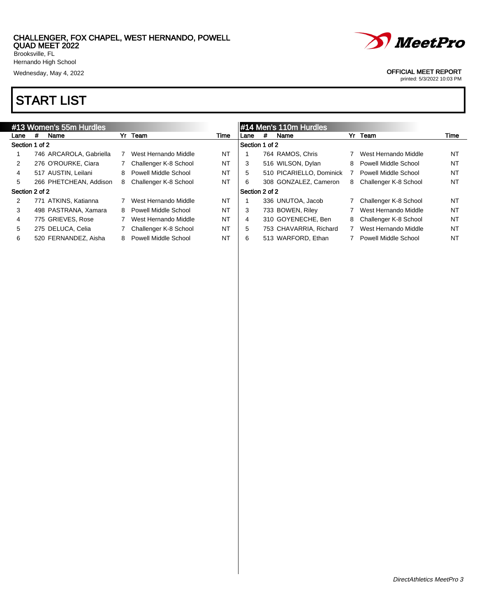

# START LIST

|                | #13 Women's 55m Hurdles<br>Yr Team |                         |   |                       |           |                |   | #14 Men's 110m Hurdles   |   |                         |           |
|----------------|------------------------------------|-------------------------|---|-----------------------|-----------|----------------|---|--------------------------|---|-------------------------|-----------|
| Lane           | #                                  | Name                    |   |                       | Time      | Lane           | # | Name                     |   | Yr Team                 | Time      |
| Section 1 of 2 |                                    |                         |   |                       |           | Section 1 of 2 |   |                          |   |                         |           |
|                |                                    | 746 ARCAROLA, Gabriella |   | West Hernando Middle  | NT        |                |   | 764 RAMOS, Chris         |   | West Hernando Middle    | <b>NT</b> |
| 2              |                                    | 276 O'ROURKE, Ciara     |   | Challenger K-8 School | NT        | 3              |   | 516 WILSON, Dylan        | 8 | Powell Middle School    | NT        |
| 4              |                                    | 517 AUSTIN, Leilani     | 8 | Powell Middle School  | NT        | 5              |   | 510 PICARIELLO, Dominick |   | Powell Middle School    | <b>NT</b> |
| 5              |                                    | 266 PHETCHEAN, Addison  | 8 | Challenger K-8 School | NT        | 6              |   | 308 GONZALEZ, Cameron    |   | 8 Challenger K-8 School | <b>NT</b> |
| Section 2 of 2 |                                    |                         |   |                       |           | Section 2 of 2 |   |                          |   |                         |           |
| 2              |                                    | 771 ATKINS, Katianna    |   | West Hernando Middle  | <b>NT</b> |                |   | 336 UNUTOA, Jacob        |   | 7 Challenger K-8 School | <b>NT</b> |
| 3              |                                    | 498 PASTRANA, Xamara    | 8 | Powell Middle School  | NT        | 3              |   | 733 BOWEN, Riley         |   | West Hernando Middle    | <b>NT</b> |
| 4              |                                    | 775 GRIEVES, Rose       |   | West Hernando Middle  | NT        | 4              |   | 310 GOYENECHE, Ben       |   | 8 Challenger K-8 School | <b>NT</b> |
| 5              |                                    | 275 DELUCA, Celia       |   | Challenger K-8 School | NT        | 5              |   | 753 CHAVARRIA, Richard   |   | West Hernando Middle    | NT        |
| 6              |                                    | 520 FERNANDEZ, Aisha    | 8 | Powell Middle School  | NT        | 6              |   | 513 WARFORD, Ethan       |   | Powell Middle School    | NT        |



Wednesday, May 4, 2022 **OFFICIAL MEET REPORT**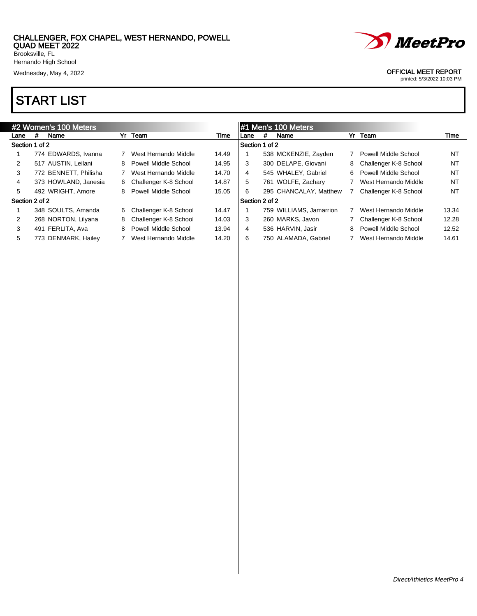

Wednesday, May 4, 2022 **OFFICIAL MEET REPORT** 

# START LIST

|                | #2 Women's 100 Meters<br>Yr Team<br># |                       |   |                       |       | #1 Men's 100 Meters |   |                         |    |                         |           |  |
|----------------|---------------------------------------|-----------------------|---|-----------------------|-------|---------------------|---|-------------------------|----|-------------------------|-----------|--|
| Lane           |                                       | Name                  |   |                       | Time  | Lane                | # | Name                    |    | Yr Team                 | Time      |  |
| Section 1 of 2 |                                       |                       |   |                       |       | Section 1 of 2      |   |                         |    |                         |           |  |
|                |                                       | 774 EDWARDS, Ivanna   |   | West Hernando Middle  | 14.49 |                     |   | 538 MCKENZIE, Zayden    |    | Powell Middle School    | NT        |  |
| $\overline{2}$ |                                       | 517 AUSTIN, Leilani   | 8 | Powell Middle School  | 14.95 | 3                   |   | 300 DELAPE, Giovani     |    | 8 Challenger K-8 School | NT        |  |
| 3              |                                       | 772 BENNETT, Philisha |   | West Hernando Middle  | 14.70 | 4                   |   | 545 WHALEY, Gabriel     | 6. | Powell Middle School    | NT        |  |
| $\overline{4}$ |                                       | 373 HOWLAND, Janesia  | 6 | Challenger K-8 School | 14.87 | 5                   |   | 761 WOLFE, Zachary      |    | West Hernando Middle    | NT        |  |
| 5              |                                       | 492 WRIGHT, Amore     | 8 | Powell Middle School  | 15.05 | 6                   |   | 295 CHANCALAY, Matthew  |    | Challenger K-8 School   | <b>NT</b> |  |
| Section 2 of 2 |                                       |                       |   |                       |       | Section 2 of 2      |   |                         |    |                         |           |  |
|                |                                       | 348 SOULTS, Amanda    | 6 | Challenger K-8 School | 14.47 |                     |   | 759 WILLIAMS, Jamarrion |    | West Hernando Middle    | 13.34     |  |
| $\overline{2}$ |                                       | 268 NORTON, Lilyana   | 8 | Challenger K-8 School | 14.03 | 3                   |   | 260 MARKS, Javon        |    | 7 Challenger K-8 School | 12.28     |  |
| 3              |                                       | 491 FERLITA, Ava      | 8 | Powell Middle School  | 13.94 | 4                   |   | 536 HARVIN, Jasir       | 8  | Powell Middle School    | 12.52     |  |
| 5              |                                       | 773 DENMARK, Hailey   |   | West Hernando Middle  | 14.20 | 6                   |   | 750 ALAMADA, Gabriel    |    | West Hernando Middle    | 14.61     |  |

*MeetPro*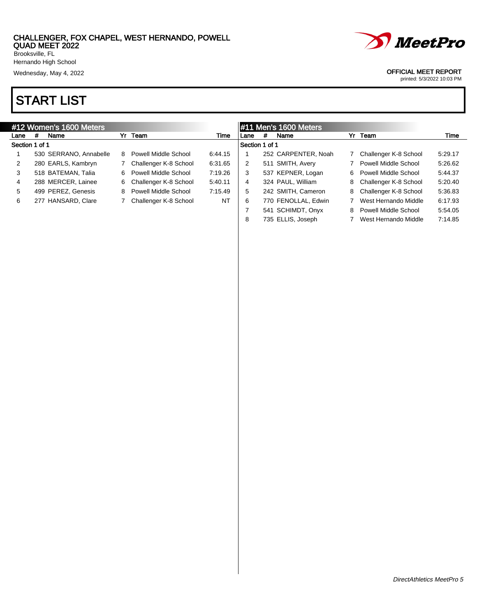

# START LIST

|                |   | #12 Women's 1600 Meters |    |                       |         | $\parallel$ #11 Men's 1600 Meters |   |                     |    |                         |         |
|----------------|---|-------------------------|----|-----------------------|---------|-----------------------------------|---|---------------------|----|-------------------------|---------|
| Lane           | # | Name                    |    | Yr Team               | Time    | Lane                              | # | Name                |    | Yr Team                 | Time    |
| Section 1 of 1 |   |                         |    |                       |         | Section 1 of 1                    |   |                     |    |                         |         |
|                |   | 530 SERRANO, Annabelle  | 8  | Powell Middle School  | 6:44.15 |                                   |   | 252 CARPENTER, Noah |    | Challenger K-8 School   | 5:29.17 |
| 2              |   | 280 EARLS, Kambryn      |    | Challenger K-8 School | 6:31.65 | 2                                 |   | 511 SMITH, Avery    |    | Powell Middle School    | 5:26.62 |
| 3              |   | 518 BATEMAN, Talia      | 6  | Powell Middle School  | 7:19.26 | 3                                 |   | 537 KEPNER, Logan   | 6. | Powell Middle School    | 5:44.37 |
| 4              |   | 288 MERCER, Lainee      | 6. | Challenger K-8 School | 5:40.11 | 4                                 |   | 324 PAUL, William   | 8  | Challenger K-8 School   | 5:20.40 |
| 5              |   | 499 PEREZ, Genesis      | 8  | Powell Middle School  | 7:15.49 | 5                                 |   | 242 SMITH, Cameron  |    | 8 Challenger K-8 School | 5:36.83 |
| 6              |   | 277 HANSARD, Clare      |    | Challenger K-8 School | NT      | 6                                 |   | 770 FENOLLAL, Edwin |    | West Hernando Middle    | 6:17.93 |
|                |   |                         |    |                       |         |                                   |   | 541 SCHIMDT, Onyx   | 8  | Powell Middle School    | 5:54.05 |
|                |   |                         |    |                       |         | 8                                 |   | 735 ELLIS, Joseph   |    | West Hernando Middle    | 7:14.85 |

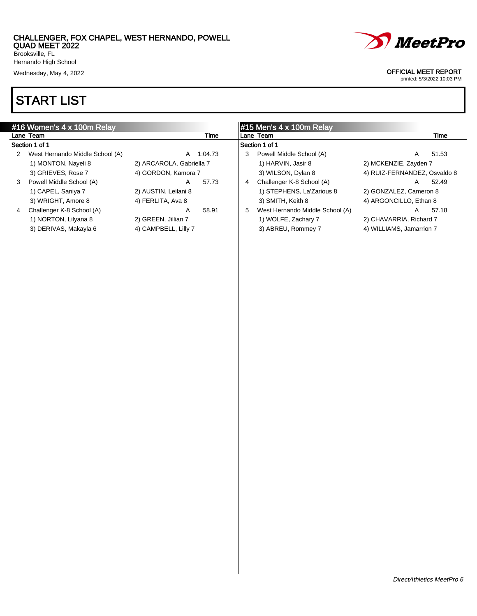Brooksville, FL Hernando High School

Wednesday, May 4, 2022 **OFFICIAL MEET REPORT** 

# START LIST



|   | #16 Women's 4 x 100m Relay      |                          |         | $\#15$ Men's 4 x 100m Relay |                                 |                              |       |  |  |
|---|---------------------------------|--------------------------|---------|-----------------------------|---------------------------------|------------------------------|-------|--|--|
|   | Lane Team                       |                          | Time    |                             | Lane Team                       |                              | Time  |  |  |
|   | Section 1 of 1                  |                          |         |                             | Section 1 of 1                  |                              |       |  |  |
| 2 | West Hernando Middle School (A) | A                        | 1:04.73 | 3                           | Powell Middle School (A)        | A                            | 51.53 |  |  |
|   | 1) MONTON, Nayeli 8             | 2) ARCAROLA, Gabriella 7 |         |                             | 1) HARVIN, Jasir 8              | 2) MCKENZIE, Zayden 7        |       |  |  |
|   | 3) GRIEVES, Rose 7              | 4) GORDON, Kamora 7      |         |                             | 3) WILSON, Dylan 8              | 4) RUIZ-FERNANDEZ, Osvaldo 8 |       |  |  |
| 3 | Powell Middle School (A)        | A                        | 57.73   | 4                           | Challenger K-8 School (A)       | A                            | 52.49 |  |  |
|   | 1) CAPEL, Saniya 7              | 2) AUSTIN, Leilani 8     |         |                             | 1) STEPHENS, La'Zarious 8       | 2) GONZALEZ, Cameron 8       |       |  |  |
|   | 3) WRIGHT, Amore 8              | 4) FERLITA, Ava 8        |         |                             | 3) SMITH, Keith 8               | 4) ARGONCILLO, Ethan 8       |       |  |  |
| 4 | Challenger K-8 School (A)       | A                        | 58.91   | 5                           | West Hernando Middle School (A) | A                            | 57.18 |  |  |
|   | 1) NORTON, Lilyana 8            | 2) GREEN, Jillian 7      |         |                             | 1) WOLFE, Zachary 7             | 2) CHAVARRIA, Richard 7      |       |  |  |
|   | 3) DERIVAS, Makayla 6           | 4) CAMPBELL, Lilly 7     |         |                             | 3) ABREU, Rommey 7              | 4) WILLIAMS, Jamarrion 7     |       |  |  |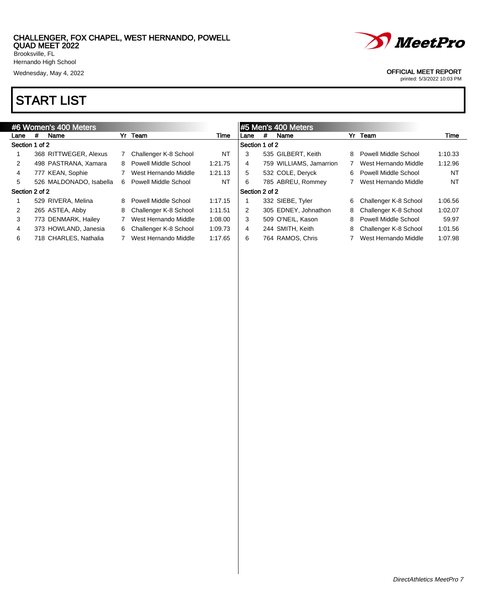

Wednesday, May 4, 2022 **OFFICIAL MEET REPORT** 

printed: 5/3/2022 10:03 PM

Hernando High School

## START LIST

|                |   | #6 Women's 400 Meters   |   |                         |         |                | #5 Men's 400 Meters |                         |   |                       |         |
|----------------|---|-------------------------|---|-------------------------|---------|----------------|---------------------|-------------------------|---|-----------------------|---------|
| Lane           | # | Name                    |   | Yr Team                 | Time    | Lane           | #                   | Name                    |   | Yr Team               | Time    |
| Section 1 of 2 |   |                         |   |                         |         | Section 1 of 2 |                     |                         |   |                       |         |
|                |   | 368 RITTWEGER, Alexus   |   | Challenger K-8 School   | NT      | 3              |                     | 535 GILBERT, Keith      | 8 | Powell Middle School  | 1:10.33 |
| 2              |   | 498 PASTRANA, Xamara    |   | 8 Powell Middle School  | 1:21.75 | 4              |                     | 759 WILLIAMS, Jamarrion |   | West Hernando Middle  | 1:12.96 |
| 4              |   | 777 KEAN, Sophie        |   | West Hernando Middle    | 1:21.13 | 5              |                     | 532 COLE, Deryck        | 6 | Powell Middle School  | NT      |
| 5              |   | 526 MALDONADO, Isabella | 6 | Powell Middle School    | NT      | 6              |                     | 785 ABREU, Rommey       |   | West Hernando Middle  | NT      |
| Section 2 of 2 |   |                         |   |                         |         | Section 2 of 2 |                     |                         |   |                       |         |
|                |   | 529 RIVERA, Melina      | 8 | Powell Middle School    | 1:17.15 |                |                     | 332 SIEBE, Tyler        | 6 | Challenger K-8 School | 1:06.56 |
| 2              |   | 265 ASTEA, Abby         | 8 | Challenger K-8 School   | 1:11.51 | 2              |                     | 305 EDNEY, Johnathon    | 8 | Challenger K-8 School | 1:02.07 |
| 3              |   | 773 DENMARK, Hailey     |   | West Hernando Middle    | 1:08.00 | 3              |                     | 509 O'NEIL, Kason       | 8 | Powell Middle School  | 59.97   |
| 4              |   | 373 HOWLAND, Janesia    |   | 6 Challenger K-8 School | 1:09.73 | 4              |                     | 244 SMITH, Keith        | 8 | Challenger K-8 School | 1:01.56 |
| 6              |   | 718 CHARLES, Nathalia   |   | West Hernando Middle    | 1:17.65 | 6              |                     | 764 RAMOS, Chris        |   | West Hernando Middle  | 1:07.98 |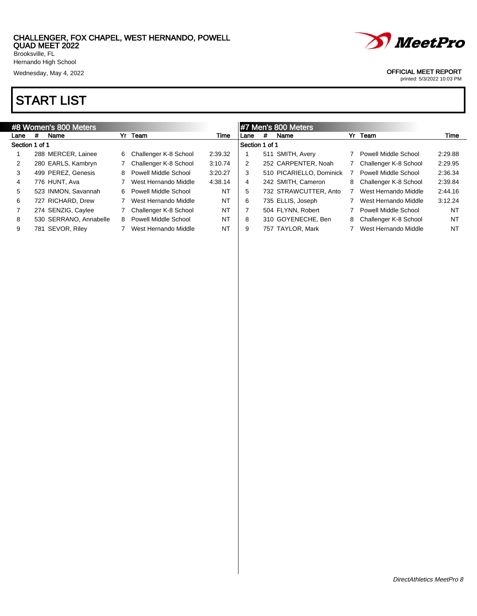

Wednesday, May 4, 2022 **OFFICIAL MEET REPORT** 

printed: 5/3/2022 10:03 PM

Hernando High School

### START LIST

|                |     | #8 Women's 800 Meters  |   |                       |           |                |     | #7 Men's 800 Meters      |   |                       |         |
|----------------|-----|------------------------|---|-----------------------|-----------|----------------|-----|--------------------------|---|-----------------------|---------|
| Lane           | #   | Name                   |   | Yr Team               | Time      | Lane           | #   | Name                     |   | Yr Team               | Time    |
| Section 1 of 1 |     |                        |   |                       |           | Section 1 of 1 |     |                          |   |                       |         |
|                |     | 288 MERCER, Lainee     | 6 | Challenger K-8 School | 2:39.32   |                | 511 | SMITH, Avery             |   | Powell Middle School  | 2:29.88 |
| 2              |     | 280 EARLS, Kambryn     |   | Challenger K-8 School | 3:10.74   | 2              |     | 252 CARPENTER, Noah      |   | Challenger K-8 School | 2:29.95 |
| 3              |     | 499 PEREZ, Genesis     | 8 | Powell Middle School  | 3:20.27   | 3              |     | 510 PICARIELLO, Dominick |   | Powell Middle School  | 2:36.34 |
| 4              |     | 776 HUNT, Ava          |   | West Hernando Middle  | 4:38.14   | 4              |     | 242 SMITH, Cameron       | 8 | Challenger K-8 School | 2:39.84 |
| 5              |     | 523 INMON, Savannah    | 6 | Powell Middle School  | NT        | 5              |     | 732 STRAWCUTTER, Anto    |   | West Hernando Middle  | 2:44.16 |
| 6              |     | 727 RICHARD, Drew      |   | West Hernando Middle  | NT        | 6              |     | 735 ELLIS, Joseph        |   | West Hernando Middle  | 3:12.24 |
|                |     | 274 SENZIG, Caylee     |   | Challenger K-8 School | <b>NT</b> |                |     | 504 FLYNN, Robert        |   | Powell Middle School  | NT      |
| 8              |     | 530 SERRANO, Annabelle | 8 | Powell Middle School  | <b>NT</b> | 8              |     | 310 GOYENECHE, Ben       | 8 | Challenger K-8 School | NT      |
| 9              | 781 | SEVOR, Riley           |   | West Hernando Middle  | ΝT        | 9              |     | 757 TAYLOR, Mark         |   | West Hernando Middle  | NT      |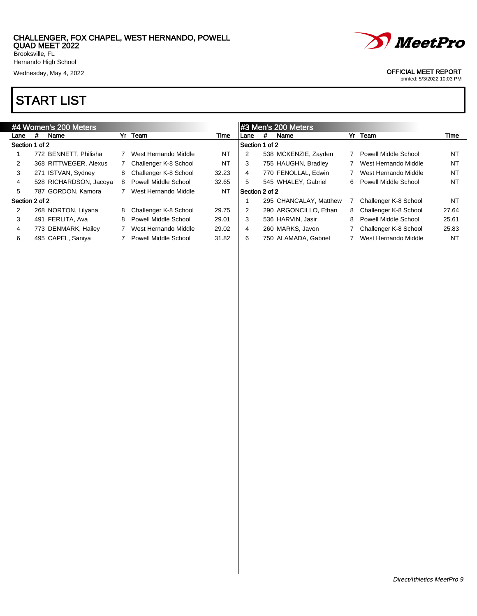

# START LIST

|                |   | #4 Women's 200 Meters  |    |                             |       |                |   | #3 Men's 200 Meters    |   |                       |           |
|----------------|---|------------------------|----|-----------------------------|-------|----------------|---|------------------------|---|-----------------------|-----------|
| Lane           | # | Name                   | Yr | Team                        | Time  | Lane           | # | Name                   |   | Yr Team               | Time      |
| Section 1 of 2 |   |                        |    |                             |       | Section 1 of 2 |   |                        |   |                       |           |
|                |   | 772 BENNETT, Philisha  |    | West Hernando Middle        | NT    | 2              |   | 538 MCKENZIE, Zayden   |   | Powell Middle School  | <b>NT</b> |
| 2              |   | 368 RITTWEGER, Alexus  |    | Challenger K-8 School       | NT    | 3              |   | 755 HAUGHN, Bradley    |   | West Hernando Middle  | NT        |
| 3              |   | 271 ISTVAN, Sydney     | 8  | Challenger K-8 School       | 32.23 | 4              |   | 770 FENOLLAL, Edwin    |   | West Hernando Middle  | <b>NT</b> |
| 4              |   | 528 RICHARDSON, Jacoya | 8  | Powell Middle School        | 32.65 | 5              |   | 545 WHALEY, Gabriel    | 6 | Powell Middle School  | NT        |
| 5              |   | 787 GORDON, Kamora     |    | West Hernando Middle        | NT    | Section 2 of 2 |   |                        |   |                       |           |
| Section 2 of 2 |   |                        |    |                             |       |                |   | 295 CHANCALAY, Matthew |   | Challenger K-8 School | NT        |
| 2              |   | 268 NORTON, Lilyana    | 8  | Challenger K-8 School       | 29.75 | 2              |   | 290 ARGONCILLO, Ethan  | 8 | Challenger K-8 School | 27.64     |
| 3              |   | 491 FERLITA, Ava       | 8  | Powell Middle School        | 29.01 | 3              |   | 536 HARVIN, Jasir      | 8 | Powell Middle School  | 25.61     |
| 4              |   | 773 DENMARK, Hailey    |    | West Hernando Middle        | 29.02 | 4              |   | 260 MARKS, Javon       |   | Challenger K-8 School | 25.83     |
| 6              |   | 495 CAPEL, Saniya      |    | <b>Powell Middle School</b> | 31.82 | 6              |   | 750 ALAMADA, Gabriel   |   | West Hernando Middle  | NT        |

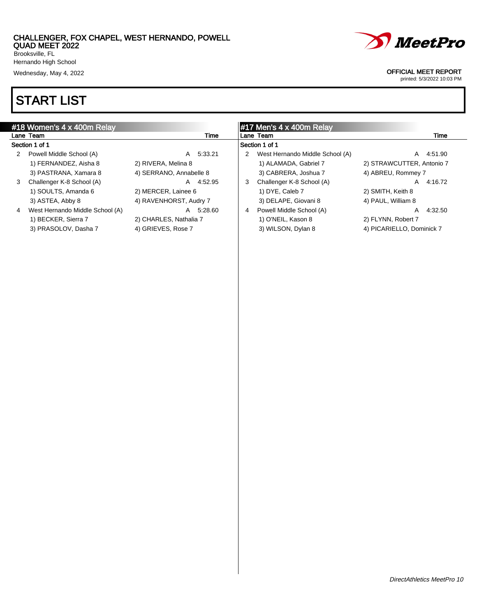Brooksville, FL Hernando High School

# START LIST



#### Wednesday, May 4, 2022 **OFFICIAL MEET REPORT**

|   | #18 Women's 4 x 400m Relay      |                         |   | $\#17$ Men's 4 x 400m Relay     |                           |         |
|---|---------------------------------|-------------------------|---|---------------------------------|---------------------------|---------|
|   | Lane Team                       | Time                    |   | Lane Team                       |                           | Time    |
|   | Section 1 of 1                  |                         |   | Section 1 of 1                  |                           |         |
| 2 | Powell Middle School (A)        | 5:33.21<br>A            |   | West Hernando Middle School (A) | A                         | 4.51.90 |
|   | 1) FERNANDEZ, Aisha 8           | 2) RIVERA, Melina 8     |   | 1) ALAMADA, Gabriel 7           | 2) STRAWCUTTER, Antonio 7 |         |
|   | 3) PASTRANA, Xamara 8           | 4) SERRANO, Annabelle 8 |   | 3) CABRERA, Joshua 7            | 4) ABREU, Rommey 7        |         |
| 3 | Challenger K-8 School (A)       | 4:52.95<br>A            | 3 | Challenger K-8 School (A)       | A                         | 4:16.72 |
|   | 1) SOULTS, Amanda 6             | 2) MERCER, Lainee 6     |   | 1) DYE, Caleb 7                 | 2) SMITH, Keith 8         |         |
|   | 3) ASTEA, Abby 8                | 4) RAVENHORST, Audry 7  |   | 3) DELAPE, Giovani 8            | 4) PAUL, William 8        |         |
| 4 | West Hernando Middle School (A) | 5:28.60<br>A            | 4 | Powell Middle School (A)        | A                         | 4:32.50 |
|   | 1) BECKER, Sierra 7             | 2) CHARLES, Nathalia 7  |   | 1) O'NEIL, Kason 8              | 2) FLYNN, Robert 7        |         |
|   | 3) PRASOLOV, Dasha 7            | 4) GRIEVES, Rose 7      |   | 3) WILSON, Dylan 8              | 4) PICARIELLO, Dominick 7 |         |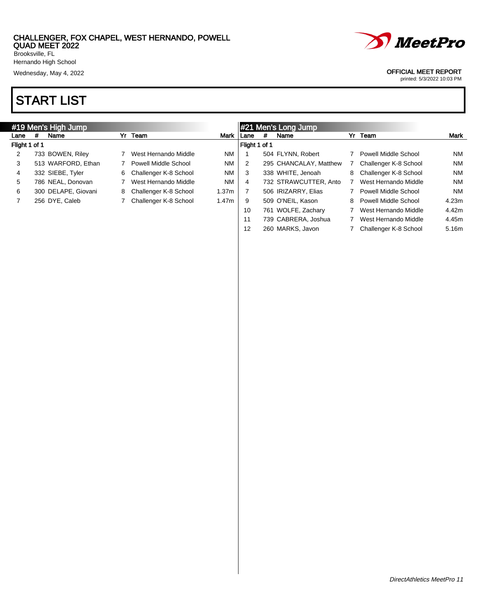

## START LIST



#### Wednesday, May 4, 2022 **OFFICIAL MEET REPORT**

printed: 5/3/2022 10:03 PM

|               |   | #19 Men's High Jump |   |                         |           |               |   | #21 Men's Long Jump    |    |                       |       |
|---------------|---|---------------------|---|-------------------------|-----------|---------------|---|------------------------|----|-----------------------|-------|
| Lane          | # | Name                |   | Yr Team                 | Mark      | Lane          | # | Name                   |    | Yr Team               | Mark  |
| Flight 1 of 1 |   |                     |   |                         |           | Flight 1 of 1 |   |                        |    |                       |       |
| 2             |   | 733 BOWEN, Riley    |   | West Hernando Middle    | <b>NM</b> |               |   | 504 FLYNN, Robert      |    | Powell Middle School  | NM    |
| 3             |   | 513 WARFORD, Ethan  |   | Powell Middle School    | <b>NM</b> | 2             |   | 295 CHANCALAY, Matthew |    | Challenger K-8 School | NM    |
| 4             |   | 332 SIEBE, Tyler    |   | 6 Challenger K-8 School | <b>NM</b> | 3             |   | 338 WHITE, Jenoah      | 8  | Challenger K-8 School | NM    |
| 5             |   | 786 NEAL, Donovan   |   | West Hernando Middle    | <b>NM</b> | 4             |   | 732 STRAWCUTTER, Anto  |    | West Hernando Middle  | NM    |
| 6             |   | 300 DELAPE, Giovani | 8 | Challenger K-8 School   | 1.37m     |               |   | 506 IRIZARRY, Elias    |    | Powell Middle School  | NM    |
|               |   | 256 DYE, Caleb      |   | Challenger K-8 School   | 1.47m     | 9             |   | 509 O'NEIL, Kason      | 8. | Powell Middle School  | 4.23m |
|               |   |                     |   |                         |           | 10            |   | 761 WOLFE, Zachary     |    | West Hernando Middle  | 4.42m |
|               |   |                     |   |                         |           |               |   | 739 CABRERA, Joshua    |    | West Hernando Middle  | 4.45m |

12 260 MARKS, Javon 7 Challenger K-8 School 5.16m

DirectAthletics MeetPro 11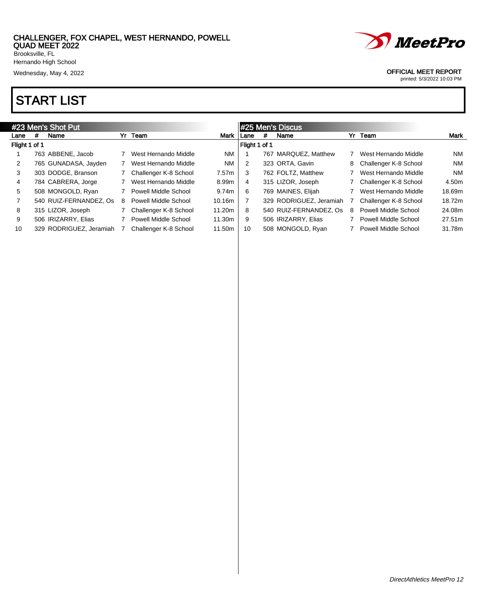

# START LIST



#### Wednesday, May 4, 2022 **OFFICIAL MEET REPORT**

|               | #23 Men's Shot Put<br>Yr Team<br>#<br>Name |                         |   |                             |             |               |   | #25 Men's Discus        |   |                             |           |
|---------------|--------------------------------------------|-------------------------|---|-----------------------------|-------------|---------------|---|-------------------------|---|-----------------------------|-----------|
| Lane          |                                            |                         |   |                             | <b>Mark</b> | Lane          | # | Name                    |   | Yr Team                     | Mark      |
| Flight 1 of 1 |                                            |                         |   |                             |             | Flight 1 of 1 |   |                         |   |                             |           |
|               |                                            | 763 ABBENE, Jacob       |   | West Hernando Middle        | <b>NM</b>   |               |   | 767 MARQUEZ, Matthew    |   | West Hernando Middle        | NM        |
| 2             |                                            | 765 GUNADASA, Jayden    |   | West Hernando Middle        | <b>NM</b>   | 2             |   | 323 ORTA, Gavin         | 8 | Challenger K-8 School       | <b>NM</b> |
| 3             |                                            | 303 DODGE, Branson      |   | Challenger K-8 School       | 7.57m       | 3             |   | 762 FOLTZ, Matthew      |   | West Hernando Middle        | <b>NM</b> |
| 4             |                                            | 784 CABRERA, Jorge      |   | West Hernando Middle        | 8.99m       | 4             |   | 315 LIZOR, Joseph       |   | Challenger K-8 School       | 4.50m     |
| 5             |                                            | 508 MONGOLD, Ryan       |   | <b>Powell Middle School</b> | 9.74m       | 6             |   | 769 MAINES, Elijah      |   | West Hernando Middle        | 18.69m    |
|               |                                            | 540 RUIZ-FERNANDEZ, Os  | 8 | <b>Powell Middle School</b> | 10.16m      |               |   | 329 RODRIGUEZ, Jeramiah |   | Challenger K-8 School       | 18.72m    |
| 8             |                                            | 315 LIZOR, Joseph       |   | Challenger K-8 School       | 11.20m      | 8             |   | 540 RUIZ-FERNANDEZ, Os  | 8 | Powell Middle School        | 24.08m    |
| 9             |                                            | 506 IRIZARRY, Elias     |   | Powell Middle School        | 11.30m      | 9             |   | 506 IRIZARRY, Elias     |   | Powell Middle School        | 27.51m    |
| 10            |                                            | 329 RODRIGUEZ, Jeramiah |   | Challenger K-8 School       | 11.50m      | 10            |   | 508 MONGOLD, Ryan       |   | <b>Powell Middle School</b> | 31.78m    |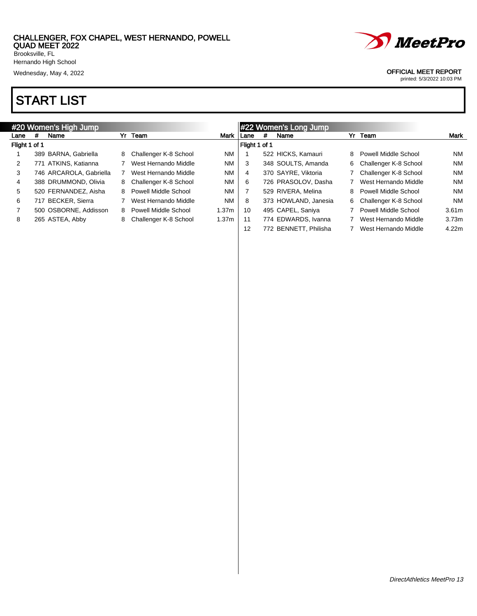

# START LIST



#### Wednesday, May 4, 2022 **OFFICIAL MEET REPORT**

| #20 Women's High Jump |   |                         |   |                        | #22 Women's Long Jump |        |   |                       |    |                       |                   |
|-----------------------|---|-------------------------|---|------------------------|-----------------------|--------|---|-----------------------|----|-----------------------|-------------------|
| Lane                  | # | Name                    |   | Yr Team                | Mark I                | l Lane | # | Name                  |    | Yr Team               | Mark              |
| Flight 1 of 1         |   |                         |   |                        | Flight 1 of 1         |        |   |                       |    |                       |                   |
|                       |   | 389 BARNA, Gabriella    | 8 | Challenger K-8 School  | <b>NM</b>             |        |   | 522 HICKS, Kamauri    | 8  | Powell Middle School  | NM                |
| 2                     |   | 771 ATKINS, Katianna    |   | West Hernando Middle   | <b>NM</b>             | 3      |   | 348 SOULTS, Amanda    | 6  | Challenger K-8 School | NM                |
| 3                     |   | 746 ARCAROLA, Gabriella |   | West Hernando Middle   | <b>NM</b>             | 4      |   | 370 SAYRE, Viktoria   |    | Challenger K-8 School | NM                |
| 4                     |   | 388 DRUMMOND, Olivia    | 8 | Challenger K-8 School  | <b>NM</b>             | 6      |   | 726 PRASOLOV, Dasha   |    | West Hernando Middle  | NM                |
| 5                     |   | 520 FERNANDEZ, Aisha    |   | 8 Powell Middle School | <b>NM</b>             |        |   | 529 RIVERA, Melina    | 8  | Powell Middle School  | NM                |
| 6                     |   | <b>BECKER, Sierra</b>   |   | West Hernando Middle   | <b>NM</b>             | 8      |   | 373 HOWLAND, Janesia  | 6. | Challenger K-8 School | NM                |
|                       |   | 500 OSBORNE, Addisson   |   | 8 Powell Middle School | 1.37 <sub>m</sub>     | 10     |   | 495 CAPEL, Saniya     |    | Powell Middle School  | 3.61 <sub>m</sub> |
| 8                     |   | 265 ASTEA, Abby         | 8 | Challenger K-8 School  | 1.37 <sub>m</sub>     | -11    |   | 774 EDWARDS, Ivanna   |    | West Hernando Middle  | 3.73 <sub>m</sub> |
|                       |   |                         |   |                        |                       | 12     |   | 772 BENNETT, Philisha |    | West Hernando Middle  | 4.22m             |